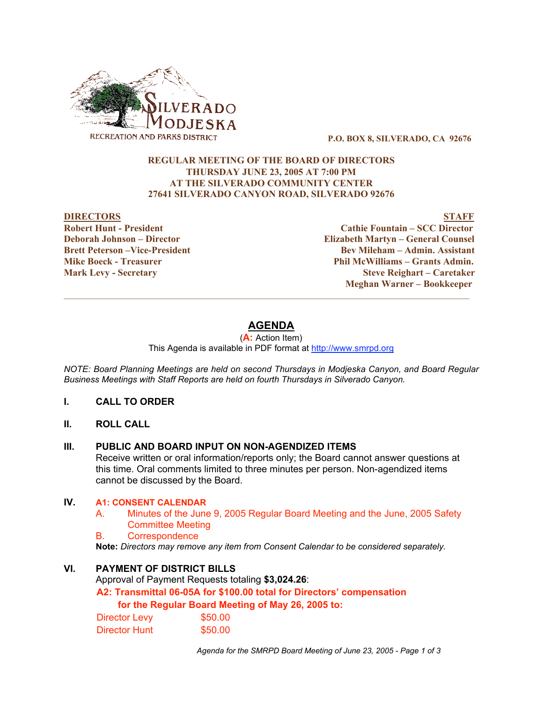

P.O. BOX 8, SILVERADO, CA 92676

## REGULAR MEETING OF THE BOARD OF DIRECTORS THURSDAY JUNE 23, 2005 AT 7:00 PM AT THE SILVERADO COMMUNITY CENTER 27641 SILVERADO CANYON ROAD, SILVERADO 92676

DIRECTORS STAFF Robert Hunt - President Cathie Fountain – SCC Director Deborah Johnson – Director Elizabeth Martyn – General Counsel Brett Peterson –Vice-President Electronic Bev Mileham – Admin. Assistant Mike Boeck - Treasurer Phil McWilliams – Grants Admin. Mark Levy - Secretary Steve Reighart – Caretaker Meghan Warner – Bookkeeper

# **AGENDA**

 $\mathcal{L}_\mathcal{L} = \{ \mathcal{L}_\mathcal{L} = \{ \mathcal{L}_\mathcal{L} = \{ \mathcal{L}_\mathcal{L} = \{ \mathcal{L}_\mathcal{L} = \{ \mathcal{L}_\mathcal{L} = \{ \mathcal{L}_\mathcal{L} = \{ \mathcal{L}_\mathcal{L} = \{ \mathcal{L}_\mathcal{L} = \{ \mathcal{L}_\mathcal{L} = \{ \mathcal{L}_\mathcal{L} = \{ \mathcal{L}_\mathcal{L} = \{ \mathcal{L}_\mathcal{L} = \{ \mathcal{L}_\mathcal{L} = \{ \mathcal{L}_\mathcal{$ 

(**A:** Action Item) This Agenda is available in PDF format at http://www.smrpd.org

*NOTE: Board Planning Meetings are held on second Thursdays in Modjeska Canyon, and Board Regular Business Meetings with Staff Reports are held on fourth Thursdays in Silverado Canyon.*

### **I. CALL TO ORDER**

**II. ROLL CALL**

### **III. PUBLIC AND BOARD INPUT ON NON-AGENDIZED ITEMS**

Receive written or oral information/reports only; the Board cannot answer questions at this time. Oral comments limited to three minutes per person. Non-agendized items cannot be discussed by the Board.

## **IV. A1: CONSENT CALENDAR**

- A. Minutes of the June 9, 2005 Regular Board Meeting and the June, 2005 Safety Committee Meeting
- B. Correspondence

**Note:** *Directors may remove any item from Consent Calendar to be considered separately.*

## **VI. PAYMENT OF DISTRICT BILLS**

Approval of Payment Requests totaling **\$3,024.26**:

**A2: Transmittal 06-05A for \$100.00 total for Directors' compensation**

### **for the Regular Board Meeting of May 26, 2005 to:**

| Director Levy        | \$50.00 |
|----------------------|---------|
| <b>Director Hunt</b> | \$50.00 |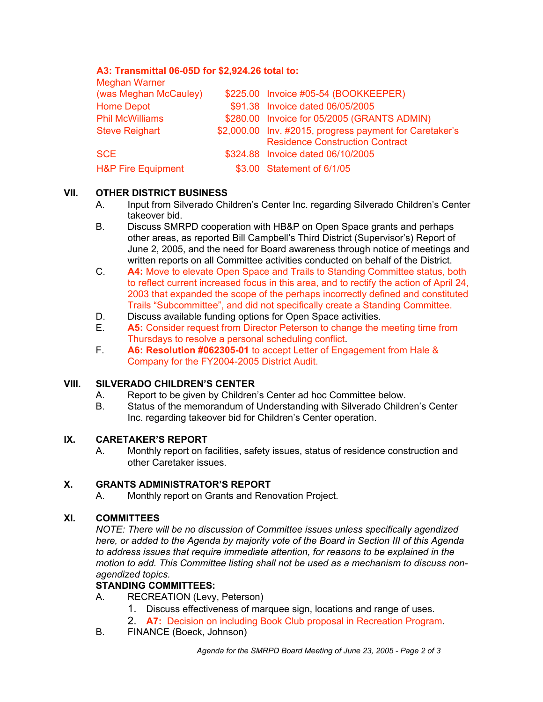## **A3: Transmittal 06-05D for \$2,924.26 total to:**

| <b>Meghan Warner</b>          |                                                         |
|-------------------------------|---------------------------------------------------------|
| (was Meghan McCauley)         | \$225.00 Invoice #05-54 (BOOKKEEPER)                    |
| <b>Home Depot</b>             | \$91.38 Invoice dated 06/05/2005                        |
| <b>Phil McWilliams</b>        | \$280.00 Invoice for 05/2005 (GRANTS ADMIN)             |
| <b>Steve Reighart</b>         | \$2,000.00 Inv. #2015, progress payment for Caretaker's |
|                               | <b>Residence Construction Contract</b>                  |
| <b>SCE</b>                    | \$324.88 Invoice dated 06/10/2005                       |
| <b>H&amp;P Fire Equipment</b> | \$3.00 Statement of 6/1/05                              |

## **VII. OTHER DISTRICT BUSINESS**

- A. Input from Silverado Children's Center Inc. regarding Silverado Children's Center takeover bid.
- B. Discuss SMRPD cooperation with HB&P on Open Space grants and perhaps other areas, as reported Bill Campbell's Third District (Supervisor's) Report of June 2, 2005, and the need for Board awareness through notice of meetings and written reports on all Committee activities conducted on behalf of the District.
- C. **A4:** Move to elevate Open Space and Trails to Standing Committee status, both to reflect current increased focus in this area, and to rectify the action of April 24, 2003 that expanded the scope of the perhaps incorrectly defined and constituted Trails "Subcommittee", and did not specifically create a Standing Committee.
- D. Discuss available funding options for Open Space activities.<br>E. **A5:** Consider request from Director Peterson to change the r
- **A5:** Consider request from Director Peterson to change the meeting time from Thursdays to resolve a personal scheduling conflict.
- F. **A6: Resolution #062305-01** to accept Letter of Engagement from Hale & Company for the FY2004-2005 District Audit.

## **VIII. SILVERADO CHILDREN'S CENTER**

- A. Report to be given by Children's Center ad hoc Committee below.
- B. Status of the memorandum of Understanding with Silverado Children's Center Inc. regarding takeover bid for Children's Center operation.

## **IX. CARETAKER'S REPORT**

A. Monthly report on facilities, safety issues, status of residence construction and other Caretaker issues.

## **X. GRANTS ADMINISTRATOR'S REPORT**

A. Monthly report on Grants and Renovation Project.

## **XI. COMMITTEES**

*NOTE: There will be no discussion of Committee issues unless specifically agendized here, or added to the Agenda by majority vote of the Board in Section III of this Agenda to address issues that require immediate attention, for reasons to be explained in the motion to add. This Committee listing shall not be used as a mechanism to discuss nonagendized topics.*

## **STANDING COMMITTEES:**

- A. RECREATION (Levy, Peterson)
	- 1. Discuss effectiveness of marquee sign, locations and range of uses.
	- 2. **A7:** Decision on including Book Club proposal in Recreation Program.
- B. FINANCE (Boeck, Johnson)